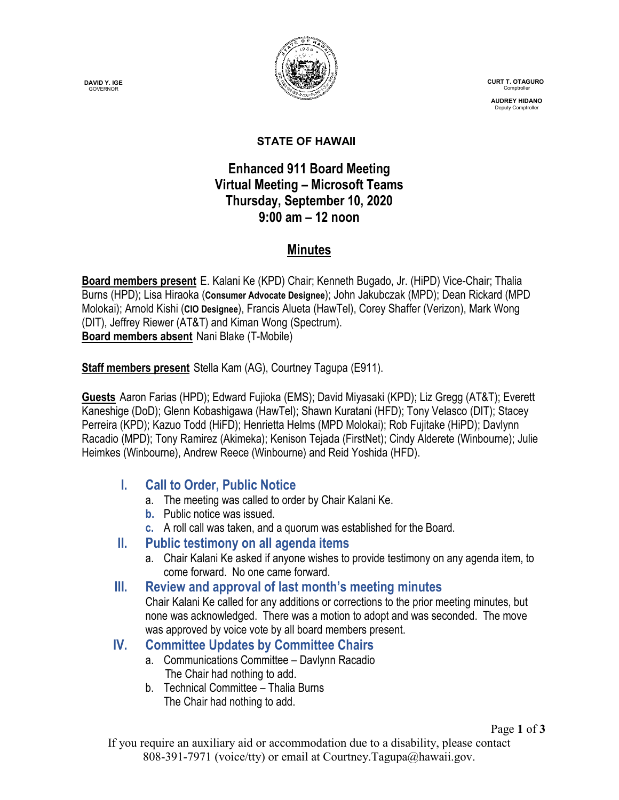**DAVID Y. IGE GOVERNOR** 



 **CURT T. OTAGURO** Comptrol

 **AUDREY HIDANO** Deputy Comptrolle

#### **STATE OF HAWAII**

# **Enhanced 911 Board Meeting Virtual Meeting – Microsoft Teams Thursday, September 10, 2020 9:00 am – 12 noon**

# **Minutes**

**Board members present** E. Kalani Ke (KPD) Chair; Kenneth Bugado, Jr. (HiPD) Vice-Chair; Thalia Burns (HPD); Lisa Hiraoka (**Consumer Advocate Designee**); John Jakubczak (MPD); Dean Rickard (MPD Molokai); Arnold Kishi (**CIO Designee**), Francis Alueta (HawTel), Corey Shaffer (Verizon), Mark Wong (DIT), Jeffrey Riewer (AT&T) and Kiman Wong (Spectrum). **Board members absent** Nani Blake (T-Mobile)

**Staff members present** Stella Kam (AG), Courtney Tagupa (E911).

**Guests** Aaron Farias (HPD); Edward Fujioka (EMS); David Miyasaki (KPD); Liz Gregg (AT&T); Everett Kaneshige (DoD); Glenn Kobashigawa (HawTel); Shawn Kuratani (HFD); Tony Velasco (DIT); Stacey Perreira (KPD); Kazuo Todd (HiFD); Henrietta Helms (MPD Molokai); Rob Fujitake (HiPD); Davlynn Racadio (MPD); Tony Ramirez (Akimeka); Kenison Tejada (FirstNet); Cindy Alderete (Winbourne); Julie Heimkes (Winbourne), Andrew Reece (Winbourne) and Reid Yoshida (HFD).

# **I. Call to Order, Public Notice**

- a. The meeting was called to order by Chair Kalani Ke.
- **b.** Public notice was issued.
- **c.** A roll call was taken, and a quorum was established for the Board.

#### **II. Public testimony on all agenda items**

a. Chair Kalani Ke asked if anyone wishes to provide testimony on any agenda item, to come forward. No one came forward.

#### **III. Review and approval of last month's meeting minutes**

Chair Kalani Ke called for any additions or corrections to the prior meeting minutes, but none was acknowledged. There was a motion to adopt and was seconded. The move was approved by voice vote by all board members present.

# **IV. Committee Updates by Committee Chairs**

- a. Communications Committee Davlynn Racadio The Chair had nothing to add.
- b. Technical Committee Thalia Burns The Chair had nothing to add.

If you require an auxiliary aid or accommodation due to a disability, please contact 808-391-7971 (voice/tty) or email at Courtney.Tagupa@hawaii.gov.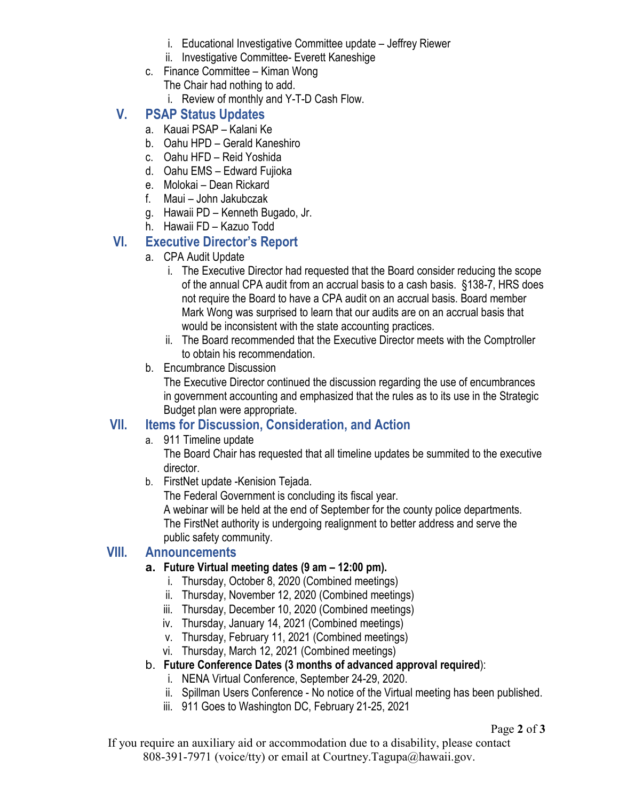- i. Educational Investigative Committee update Jeffrey Riewer
- ii. Investigative Committee- Everett Kaneshige
- c. Finance Committee Kiman Wong The Chair had nothing to add.
	- i. Review of monthly and Y-T-D Cash Flow.

# **V. PSAP Status Updates**

- a. Kauai PSAP Kalani Ke
- b. Oahu HPD Gerald Kaneshiro
- c. Oahu HFD Reid Yoshida
- d. Oahu EMS Edward Fujioka
- e. Molokai Dean Rickard
- f. Maui John Jakubczak
- g. Hawaii PD Kenneth Bugado, Jr.
- h. Hawaii FD Kazuo Todd

# **VI. Executive Director's Report**

- a. CPA Audit Update
	- i. The Executive Director had requested that the Board consider reducing the scope of the annual CPA audit from an accrual basis to a cash basis. §138-7, HRS does not require the Board to have a CPA audit on an accrual basis. Board member Mark Wong was surprised to learn that our audits are on an accrual basis that would be inconsistent with the state accounting practices.
	- ii. The Board recommended that the Executive Director meets with the Comptroller to obtain his recommendation.
- b. Encumbrance Discussion

The Executive Director continued the discussion regarding the use of encumbrances in government accounting and emphasized that the rules as to its use in the Strategic Budget plan were appropriate.

# **VII. Items for Discussion, Consideration, and Action**

a. 911 Timeline update

The Board Chair has requested that all timeline updates be summited to the executive director.

b. FirstNet update -Kenision Tejada.

The Federal Government is concluding its fiscal year.

A webinar will be held at the end of September for the county police departments. The FirstNet authority is undergoing realignment to better address and serve the public safety community.

#### **VIII. Announcements**

#### **a. Future Virtual meeting dates (9 am – 12:00 pm).**

- i. Thursday, October 8, 2020 (Combined meetings)
- ii. Thursday, November 12, 2020 (Combined meetings)
- iii. Thursday, December 10, 2020 (Combined meetings)
- iv. Thursday, January 14, 2021 (Combined meetings)
- v. Thursday, February 11, 2021 (Combined meetings)
- vi. Thursday, March 12, 2021 (Combined meetings)
- b. **Future Conference Dates (3 months of advanced approval required**):
	- i. NENA Virtual Conference, September 24-29, 2020.
	- ii. Spillman Users Conference No notice of the Virtual meeting has been published.
	- iii. 911 Goes to Washington DC, February 21-25, 2021

#### Page **2** of **3**

If you require an auxiliary aid or accommodation due to a disability, please contact 808-391-7971 (voice/tty) or email at Courtney.Tagupa@hawaii.gov.